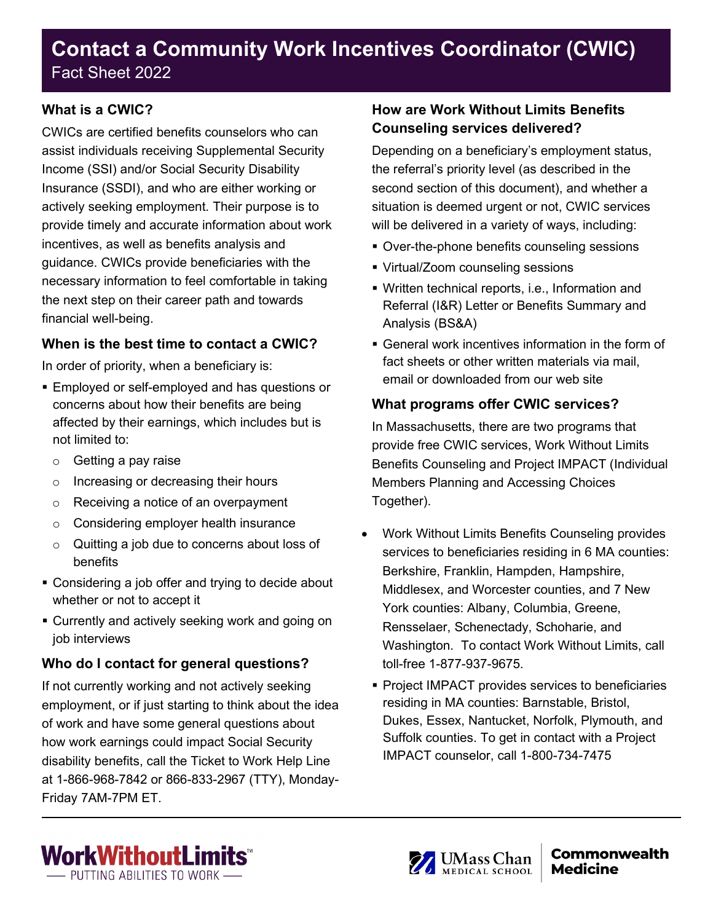# **Contact a Community Work Incentives Coordinator (CWIC)** Fact Sheet 2022

#### **What is a CWIC?**

CWICs are certified benefits counselors who can assist individuals receiving Supplemental Security Income (SSI) and/or Social Security Disability Insurance (SSDI), and who are either working or actively seeking employment. Their purpose is to provide timely and accurate information about work incentives, as well as benefits analysis and guidance. CWICs provide beneficiaries with the necessary information to feel comfortable in taking the next step on their career path and towards financial well-being.

#### **When is the best time to contact a CWIC?**

In order of priority, when a beneficiary is:

- Employed or self-employed and has questions or concerns about how their benefits are being affected by their earnings, which includes but is not limited to:
	- o Getting a pay raise
	- o Increasing or decreasing their hours
	- o Receiving a notice of an overpayment
	- o Considering employer health insurance
	- o Quitting a job due to concerns about loss of benefits
- **Considering a job offer and trying to decide about** whether or not to accept it
- **Currently and actively seeking work and going on** job interviews

#### **Who do I contact for general questions?**

If not currently working and not actively seeking employment, or if just starting to think about the idea of work and have some general questions about how work earnings could impact Social Security disability benefits, call the Ticket to Work Help Line at 1-866-968-7842 or 866-833-2967 (TTY), Monday-Friday 7AM-7PM ET.

## **How are Work Without Limits Benefits Counseling services delivered?**

Depending on a beneficiary's employment status, the referral's priority level (as described in the second section of this document), and whether a situation is deemed urgent or not, CWIC services will be delivered in a variety of ways, including:

- Over-the-phone benefits counseling sessions
- Virtual/Zoom counseling sessions
- Written technical reports, i.e., Information and Referral (I&R) Letter or Benefits Summary and Analysis (BS&A)
- General work incentives information in the form of fact sheets or other written materials via mail email or downloaded from our web site

### **What programs offer CWIC services?**

In Massachusetts, there are two programs that provide free CWIC services, Work Without Limits Benefits Counseling and Project IMPACT (Individual Members Planning and Accessing Choices Together).

- Work Without Limits Benefits Counseling provides services to beneficiaries residing in 6 MA counties: Berkshire, Franklin, Hampden, Hampshire, Middlesex, and Worcester counties, and 7 New York counties: Albany, Columbia, Greene, Rensselaer, Schenectady, Schoharie, and Washington. To contact Work Without Limits, call toll-free 1-877-937-9675.
- **Project IMPACT provides services to beneficiaries** residing in MA counties: Barnstable, Bristol, Dukes, Essex, Nantucket, Norfolk, Plymouth, and Suffolk counties. To get in contact with a Project IMPACT counselor, call 1-800-734-7475